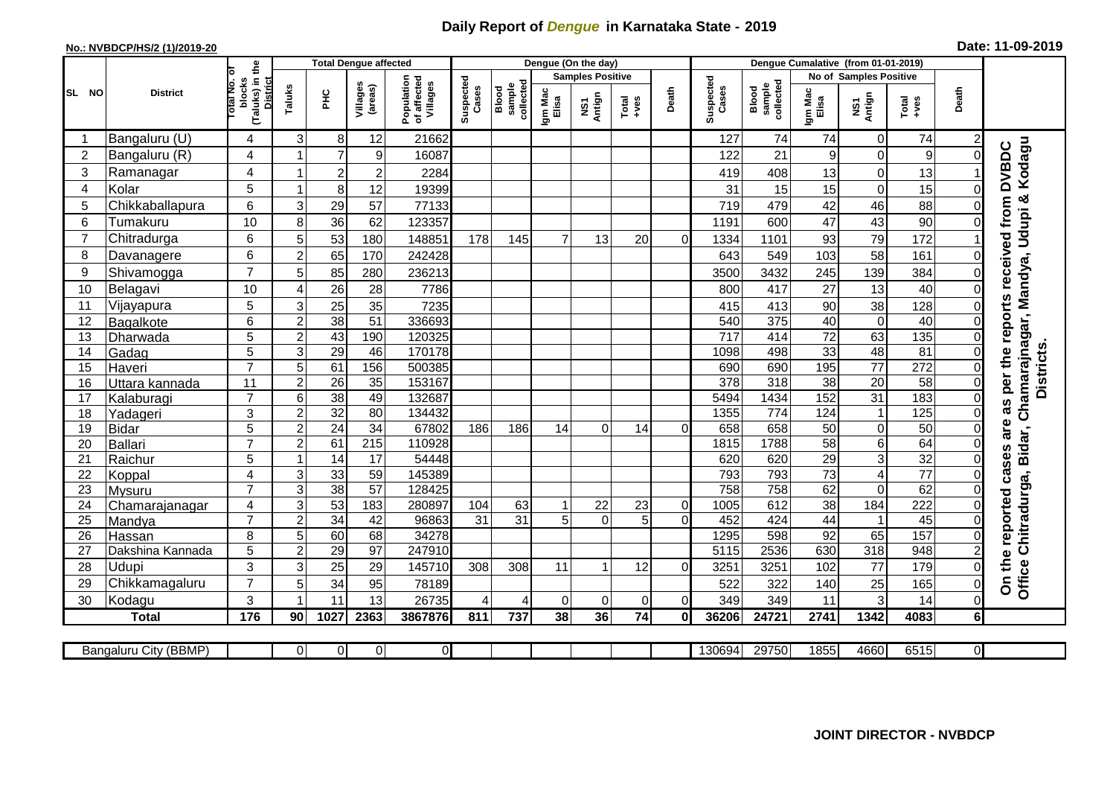## **Daily Report of** *Dengue* **in Karnataka State - 2019**

## **No.: NVBDCP/HS/2 (1)/2019-20 Date: 11-09-2019**

|                |                          | <b>Total Dengue affected</b>          |                     | Dengue (On the day)<br>Dengue Cumalative (from 01-01-2019) |                         |                                       |                    |                              |                  |                                |               |                |                    |                              |                               |                                |                       |                      |                                                                    |
|----------------|--------------------------|---------------------------------------|---------------------|------------------------------------------------------------|-------------------------|---------------------------------------|--------------------|------------------------------|------------------|--------------------------------|---------------|----------------|--------------------|------------------------------|-------------------------------|--------------------------------|-----------------------|----------------------|--------------------------------------------------------------------|
|                |                          | ö                                     |                     |                                                            |                         |                                       |                    |                              |                  | <b>Samples Positive</b>        |               |                |                    |                              | <b>No of Samples Positive</b> |                                |                       |                      |                                                                    |
| SL NO          | <b>District</b>          | (Taluks) in the<br>blocks<br>otal No. | Taluks              | <b>PHC</b>                                                 | Villages<br>(areas)     | Population<br>of affected<br>Villages | Suspected<br>Cases | Blood<br>sample<br>collected | Igm Mac<br>Elisa | Antign<br>$\mathbf{\tilde{s}}$ | Total<br>+ves | Death          | Suspected<br>Cases | sample<br>collected<br>Blood | Igm Mac<br>Elisa              | NS1<br>Antign                  | Total<br>+ves         | Death                |                                                                    |
|                | Bangaluru (U)            | 4                                     | 3                   | 8                                                          | 12                      | 21662                                 |                    |                              |                  |                                |               |                | 127                | 74                           | 74                            | 0                              | 74                    |                      |                                                                    |
| $\overline{c}$ | Bangaluru (R)            | 4                                     | 1                   | $\overline{7}$                                             | $\boldsymbol{9}$        | 16087                                 |                    |                              |                  |                                |               |                | 122                | 21                           | $\boldsymbol{9}$              | $\mathbf 0$                    | 9                     | $\mathbf 0$          | Kodagu<br><b>DVBDC</b>                                             |
| 3              | Ramanagar                | 4                                     | 1                   | $\boldsymbol{2}$                                           | $\overline{\mathbf{c}}$ | 2284                                  |                    |                              |                  |                                |               |                | 419                | 408                          | 13                            | 0                              | 13                    |                      |                                                                    |
| $\overline{4}$ | Kolar                    | $5\phantom{.0}$                       | 1                   | 8                                                          | 12                      | 19399                                 |                    |                              |                  |                                |               |                | 31                 | 15                           | 15                            | $\mathbf 0$                    | 15                    | $\Omega$             |                                                                    |
| 5              | Chikkaballapura          | 6                                     | 3                   | 29                                                         | 57                      | 77133                                 |                    |                              |                  |                                |               |                | 719                | 479                          | 42                            | 46                             | 88                    | $\Omega$             | Chamarajnagar, Mandya, Udupi &<br>as per the reports received from |
| 6              | Tumakuru                 | 10                                    | 8                   | 36                                                         | 62                      | 123357                                |                    |                              |                  |                                |               |                | 1191               | 600                          | 47                            | 43                             | 90                    | $\Omega$             |                                                                    |
| $\overline{7}$ | Chitradurga              | 6                                     | 5                   | 53                                                         | 180                     | 148851                                | 178                | 145                          | $\overline{7}$   | 13                             | 20            | $\Omega$       | 1334               | 1101                         | 93                            | 79                             | 172                   |                      |                                                                    |
| 8              | Davanagere               | 6                                     | $\overline{a}$      | 65                                                         | 170                     | 242428                                |                    |                              |                  |                                |               |                | 643                | 549                          | 103                           | 58                             | 161                   | $\overline{0}$       |                                                                    |
| 9              | Shivamogga               | $\overline{7}$                        | 5                   | 85                                                         | 280                     | 236213                                |                    |                              |                  |                                |               |                | 3500               | 3432                         | 245                           | 139                            | 384                   | $\overline{0}$       |                                                                    |
| 10             | Belagavi                 | 10                                    | 4                   | $\overline{26}$                                            | 28                      | 7786                                  |                    |                              |                  |                                |               |                | 800                | 417                          | 27                            | 13                             | 40                    | $\Omega$             |                                                                    |
| 11             | Vijayapura               | 5                                     | 3                   | $\overline{25}$                                            | 35                      | 7235                                  |                    |                              |                  |                                |               |                | 415                | 413                          | 90                            | 38                             | 128                   | $\mathbf 0$          |                                                                    |
| 12             | Bagalkote                | 6                                     | $\overline{a}$      | 38                                                         | 51                      | 336693                                |                    |                              |                  |                                |               |                | 540                | $\overline{375}$             | 40                            | $\pmb{0}$                      | 40                    | 0                    |                                                                    |
| 13             | Dharwada                 | 5                                     | $\overline{2}$      | 43                                                         | 190                     | 120325                                |                    |                              |                  |                                |               |                | $\overline{717}$   | 414                          | $\overline{72}$               | 63                             | 135                   | $\overline{0}$       |                                                                    |
| 14             | Gadag                    | $\overline{5}$                        | $\overline{3}$      | 29                                                         | 46                      | 170178                                |                    |                              |                  |                                |               |                | 1098               | 498                          | 33                            | 48                             | 81                    | $\overline{0}$       |                                                                    |
| 15             | Haveri                   | $\overline{7}$                        | 5                   | 61                                                         | 156                     | 500385                                |                    |                              |                  |                                |               |                | 690                | 690                          | 195                           | 77                             | 272                   | $\mathbf 0$          |                                                                    |
| 16             | Uttara kannada           | 11                                    | $\overline{c}$      | $\overline{26}$                                            | 35                      | 153167                                |                    |                              |                  |                                |               |                | $\overline{378}$   | 318                          | $\overline{38}$               | $\overline{20}$                | 58                    | $\Omega$             | <b>Districts</b>                                                   |
| 17             | Kalaburagi               | $\overline{7}$                        | 6                   | $\overline{38}$                                            | 49                      | 132687                                |                    |                              |                  |                                |               |                | 5494               | 1434                         | 152                           | 31                             | 183                   | $\overline{0}$       |                                                                    |
| 18             | Yadageri                 | 3                                     | $\overline{a}$      | 32                                                         | 80                      | 134432                                |                    |                              |                  |                                |               |                | 1355               | 774                          | 124                           | $\overline{1}$                 | 125                   | 0                    |                                                                    |
| 19             | <b>Bidar</b>             | 5                                     | $\mathbf 2$         | $\overline{24}$                                            | $\overline{34}$         | 67802                                 | 186                | 186                          | 14               | $\Omega$                       | 14            | $\Omega$       | 658                | 658                          | 50                            | $\mathbf 0$                    | 50                    | $\overline{0}$       | are                                                                |
| 20             | <b>Ballari</b>           | $\overline{7}$                        | $\overline{c}$<br>1 | 61                                                         | 215                     | 110928                                |                    |                              |                  |                                |               |                | 1815               | 1788                         | 58                            | 6                              | 64                    | $\Omega$             |                                                                    |
| 21<br>22       | Raichur                  | 5<br>4                                | 3                   | 14<br>33                                                   | $\overline{17}$<br>59   | 54448<br>145389                       |                    |                              |                  |                                |               |                | 620<br>793         | 620<br>793                   | 29<br>$\overline{73}$         | $\mathbf{3}$<br>$\overline{4}$ | 32<br>$\overline{77}$ | $\Omega$<br>$\Omega$ | cases                                                              |
| 23             | Koppal                   | $\overline{7}$                        | $\overline{3}$      | 38                                                         | 57                      | 128425                                |                    |                              |                  |                                |               |                | 758                | 758                          | 62                            | $\Omega$                       | 62                    | $\Omega$             |                                                                    |
| 24             | Mysuru<br>Chamarajanagar | 4                                     | $\overline{3}$      | 53                                                         | 183                     | 280897                                | 104                | 63                           | 1                | 22                             | 23            | $\overline{0}$ | 1005               | 612                          | $\overline{38}$               | 184                            | 222                   | $\mathbf 0$          | Chitradurga, Bidar,                                                |
| 25             | Mandya                   | $\overline{7}$                        | $\overline{2}$      | $\overline{34}$                                            | 42                      | 96863                                 | 31                 | 31                           | 5 <sup>1</sup>   | $\Omega$                       | 5             | $\Omega$       | 452                | 424                          | 44                            |                                | 45                    | $\Omega$             |                                                                    |
| 26             | Hassan                   | 8                                     | 5                   | 60                                                         | 68                      | 34278                                 |                    |                              |                  |                                |               |                | 1295               | 598                          | 92                            | 65                             | 157                   | $\overline{0}$       |                                                                    |
| 27             | Dakshina Kannada         | 5                                     | $\overline{2}$      | 29                                                         | $\overline{97}$         | 247910                                |                    |                              |                  |                                |               |                | 5115               | 2536                         | 630                           | $\overline{318}$               | 948                   | $\overline{2}$       |                                                                    |
| 28             | Udupi                    | 3                                     | 3                   | 25                                                         | 29                      | 145710                                | 308                | 308                          | 11               | $\overline{1}$                 | 12            | $\Omega$       | 3251               | 3251                         | 102                           | 77                             | 179                   | $\Omega$             |                                                                    |
| 29             | Chikkamagaluru           | $\overline{7}$                        | 5                   | 34                                                         | 95                      | 78189                                 |                    |                              |                  |                                |               |                | 522                | 322                          | 140                           | 25                             | 165                   | $\overline{0}$       | On the reported<br>Office                                          |
| 30             | Kodagu                   | 3                                     | 1                   | 11                                                         | 13                      | 26735                                 |                    | 4                            | $\Omega$         | $\Omega$                       | $\Omega$      | $\Omega$       | 349                | 349                          | 11                            | 3                              | 14                    | $\Omega$             |                                                                    |
|                | <b>Total</b>             | 176                                   | 90                  | 1027                                                       | 2363                    | 3867876                               | 811                | 737                          | 38               | 36                             | 74            | $\mathbf{0}$   | 36206              | 24721                        | 2741                          | 1342                           | 4083                  | 6 <sup>1</sup>       |                                                                    |
|                |                          |                                       |                     |                                                            |                         |                                       |                    |                              |                  |                                |               |                |                    |                              |                               |                                |                       |                      |                                                                    |
|                | Bangaluru City (BBMP)    |                                       | $\Omega$            | $\overline{0}$                                             | $\overline{0}$          | $\overline{0}$                        |                    |                              |                  |                                |               |                | 130694             | 29750                        | 1855                          | 4660                           | 6515                  | $\overline{0}$       |                                                                    |